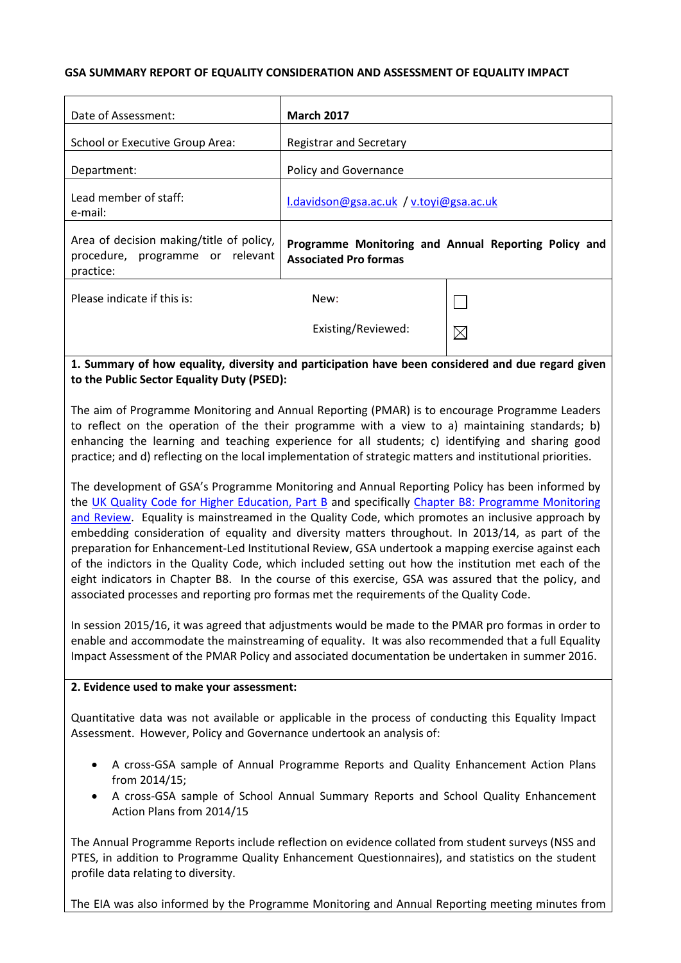#### **GSA SUMMARY REPORT OF EQUALITY CONSIDERATION AND ASSESSMENT OF EQUALITY IMPACT**

| Date of Assessment:                                                                               | <b>March 2017</b>                       |                                                      |
|---------------------------------------------------------------------------------------------------|-----------------------------------------|------------------------------------------------------|
| <b>School or Executive Group Area:</b>                                                            | <b>Registrar and Secretary</b>          |                                                      |
| Department:                                                                                       | Policy and Governance                   |                                                      |
| Lead member of staff:<br>e-mail:                                                                  | l.davidson@gsa.ac.uk / v.toyi@gsa.ac.uk |                                                      |
| Area of decision making/title of policy,<br>procedure, programme or relevant<br>practice:         | <b>Associated Pro formas</b>            | Programme Monitoring and Annual Reporting Policy and |
| Please indicate if this is:                                                                       | New:                                    |                                                      |
|                                                                                                   | Existing/Reviewed:                      | $\boxtimes$                                          |
| 1. Summary of how equality, diversity and participation have been considered and due regard given |                                         |                                                      |

# **to the Public Sector Equality Duty (PSED):**

The aim of Programme Monitoring and Annual Reporting (PMAR) is to encourage Programme Leaders to reflect on the operation of the their programme with a view to a) maintaining standards; b) enhancing the learning and teaching experience for all students; c) identifying and sharing good practice; and d) reflecting on the local implementation of strategic matters and institutional priorities.

The development of GSA's Programme Monitoring and Annual Reporting Policy has been informed by the [UK Quality Code for Higher Education, Part B](http://www.qaa.ac.uk/assuring-standards-and-quality/the-quality-code/quality-code-part-b) and specifically Chapter B8: Programme Monitoring and Review. Equality is mainstreamed in the Quality Code, which promotes an inclusive approach by embedding consideration of equality and diversity matters throughout. In 2013/14, as part of the preparation for Enhancement-Led Institutional Review, GSA undertook a mapping exercise against each of the indictors in the Quality Code, which included setting out how the institution met each of the eight indicators in Chapter B8. In the course of this exercise, GSA was assured that the policy, and associated processes and reporting pro formas met the requirements of the Quality Code.

In session 2015/16, it was agreed that adjustments would be made to the PMAR pro formas in order to enable and accommodate the mainstreaming of equality. It was also recommended that a full Equality Impact Assessment of the PMAR Policy and associated documentation be undertaken in summer 2016.

## **2. Evidence used to make your assessment:**

Quantitative data was not available or applicable in the process of conducting this Equality Impact Assessment. However, Policy and Governance undertook an analysis of:

- A cross-GSA sample of Annual Programme Reports and Quality Enhancement Action Plans from 2014/15;
- A cross-GSA sample of School Annual Summary Reports and School Quality Enhancement Action Plans from 2014/15

The Annual Programme Reports include reflection on evidence collated from student surveys (NSS and PTES, in addition to Programme Quality Enhancement Questionnaires), and statistics on the student profile data relating to diversity.

The EIA was also informed by the Programme Monitoring and Annual Reporting meeting minutes from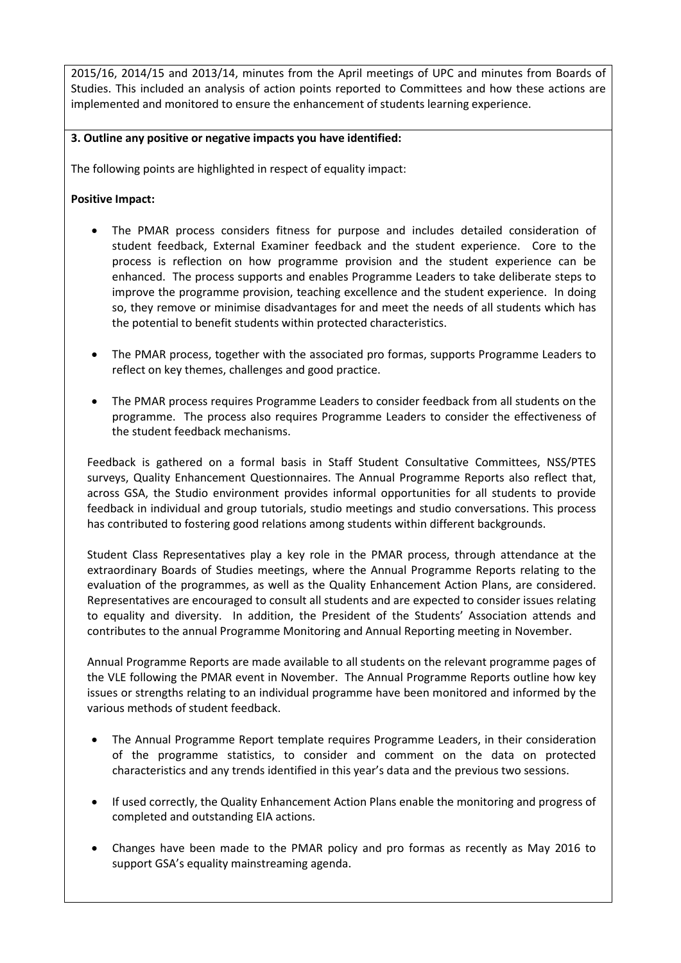2015/16, 2014/15 and 2013/14, minutes from the April meetings of UPC and minutes from Boards of Studies. This included an analysis of action points reported to Committees and how these actions are implemented and monitored to ensure the enhancement of students learning experience.

## **3. Outline any positive or negative impacts you have identified:**

The following points are highlighted in respect of equality impact:

### **Positive Impact:**

- The PMAR process considers fitness for purpose and includes detailed consideration of student feedback, External Examiner feedback and the student experience. Core to the process is reflection on how programme provision and the student experience can be enhanced. The process supports and enables Programme Leaders to take deliberate steps to improve the programme provision, teaching excellence and the student experience. In doing so, they remove or minimise disadvantages for and meet the needs of all students which has the potential to benefit students within protected characteristics.
- The PMAR process, together with the associated pro formas, supports Programme Leaders to reflect on key themes, challenges and good practice.
- The PMAR process requires Programme Leaders to consider feedback from all students on the programme. The process also requires Programme Leaders to consider the effectiveness of the student feedback mechanisms.

Feedback is gathered on a formal basis in Staff Student Consultative Committees, NSS/PTES surveys, Quality Enhancement Questionnaires. The Annual Programme Reports also reflect that, across GSA, the Studio environment provides informal opportunities for all students to provide feedback in individual and group tutorials, studio meetings and studio conversations. This process has contributed to fostering good relations among students within different backgrounds.

Student Class Representatives play a key role in the PMAR process, through attendance at the extraordinary Boards of Studies meetings, where the Annual Programme Reports relating to the evaluation of the programmes, as well as the Quality Enhancement Action Plans, are considered. Representatives are encouraged to consult all students and are expected to consider issues relating to equality and diversity. In addition, the President of the Students' Association attends and contributes to the annual Programme Monitoring and Annual Reporting meeting in November.

Annual Programme Reports are made available to all students on the relevant programme pages of the VLE following the PMAR event in November. The Annual Programme Reports outline how key issues or strengths relating to an individual programme have been monitored and informed by the various methods of student feedback.

- The Annual Programme Report template requires Programme Leaders, in their consideration of the programme statistics, to consider and comment on the data on protected characteristics and any trends identified in this year's data and the previous two sessions.
- If used correctly, the Quality Enhancement Action Plans enable the monitoring and progress of completed and outstanding EIA actions.
- Changes have been made to the PMAR policy and pro formas as recently as May 2016 to support GSA's equality mainstreaming agenda.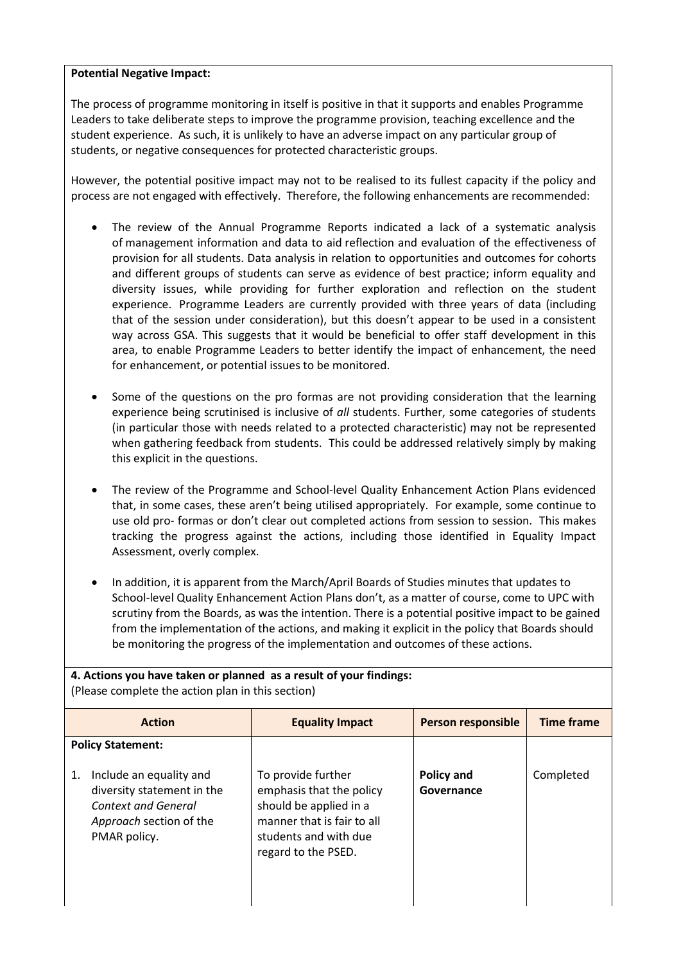### **Potential Negative Impact:**

The process of programme monitoring in itself is positive in that it supports and enables Programme Leaders to take deliberate steps to improve the programme provision, teaching excellence and the student experience. As such, it is unlikely to have an adverse impact on any particular group of students, or negative consequences for protected characteristic groups.

However, the potential positive impact may not to be realised to its fullest capacity if the policy and process are not engaged with effectively. Therefore, the following enhancements are recommended:

- The review of the Annual Programme Reports indicated a lack of a systematic analysis of management information and data to aid reflection and evaluation of the effectiveness of provision for all students. Data analysis in relation to opportunities and outcomes for cohorts and different groups of students can serve as evidence of best practice; inform equality and diversity issues, while providing for further exploration and reflection on the student experience. Programme Leaders are currently provided with three years of data (including that of the session under consideration), but this doesn't appear to be used in a consistent way across GSA. This suggests that it would be beneficial to offer staff development in this area, to enable Programme Leaders to better identify the impact of enhancement, the need for enhancement, or potential issues to be monitored.
- Some of the questions on the pro formas are not providing consideration that the learning experience being scrutinised is inclusive of *all* students. Further, some categories of students (in particular those with needs related to a protected characteristic) may not be represented when gathering feedback from students. This could be addressed relatively simply by making this explicit in the questions.
- The review of the Programme and School-level Quality Enhancement Action Plans evidenced that, in some cases, these aren't being utilised appropriately. For example, some continue to use old pro- formas or don't clear out completed actions from session to session. This makes tracking the progress against the actions, including those identified in Equality Impact Assessment, overly complex.
- In addition, it is apparent from the March/April Boards of Studies minutes that updates to School-level Quality Enhancement Action Plans don't, as a matter of course, come to UPC with scrutiny from the Boards, as was the intention. There is a potential positive impact to be gained from the implementation of the actions, and making it explicit in the policy that Boards should be monitoring the progress of the implementation and outcomes of these actions.

| 4. Actions you have taken or planned as a result of your findings:<br>(Please complete the action plan in this section)       |                                                                                                                                                        |                                 |                   |
|-------------------------------------------------------------------------------------------------------------------------------|--------------------------------------------------------------------------------------------------------------------------------------------------------|---------------------------------|-------------------|
| <b>Action</b>                                                                                                                 | <b>Equality Impact</b>                                                                                                                                 | Person responsible              | <b>Time frame</b> |
| <b>Policy Statement:</b>                                                                                                      |                                                                                                                                                        |                                 |                   |
| Include an equality and<br>1.<br>diversity statement in the<br>Context and General<br>Approach section of the<br>PMAR policy. | To provide further<br>emphasis that the policy<br>should be applied in a<br>manner that is fair to all<br>students and with due<br>regard to the PSED. | <b>Policy and</b><br>Governance | Completed         |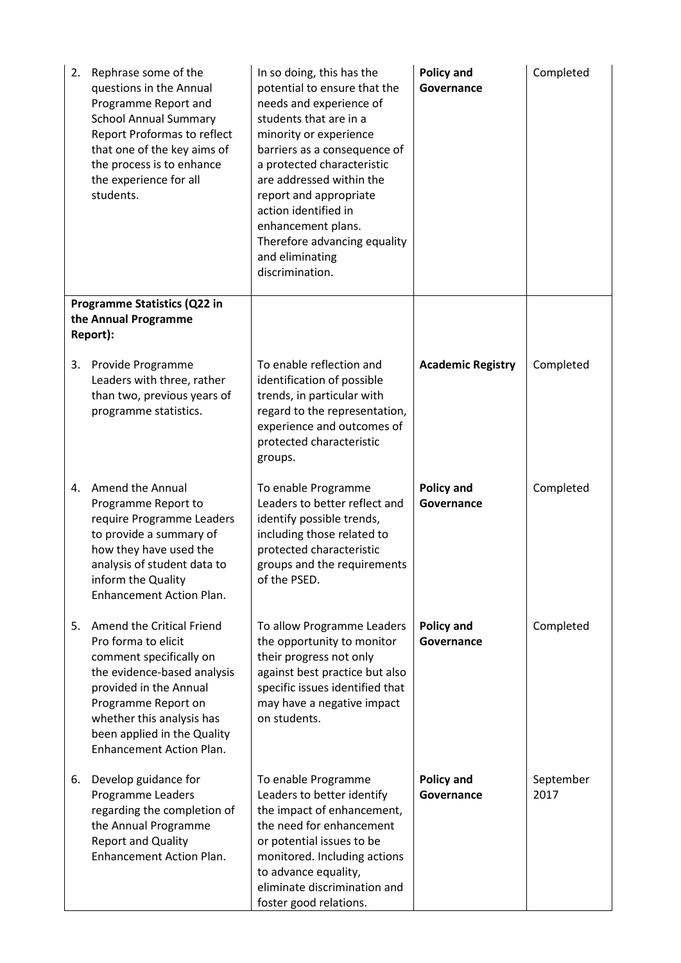| 2. | Rephrase some of the<br>questions in the Annual<br>Programme Report and<br><b>School Annual Summary</b><br>Report Proformas to reflect<br>that one of the key aims of<br>the process is to enhance<br>the experience for all<br>students.                  | In so doing, this has the<br>potential to ensure that the<br>needs and experience of<br>students that are in a<br>minority or experience<br>barriers as a consequence of<br>a protected characteristic<br>are addressed within the<br>report and appropriate<br>action identified in<br>enhancement plans.<br>Therefore advancing equality<br>and eliminating<br>discrimination. | <b>Policy and</b><br>Governance | Completed         |
|----|------------------------------------------------------------------------------------------------------------------------------------------------------------------------------------------------------------------------------------------------------------|----------------------------------------------------------------------------------------------------------------------------------------------------------------------------------------------------------------------------------------------------------------------------------------------------------------------------------------------------------------------------------|---------------------------------|-------------------|
|    | Programme Statistics (Q22 in<br>the Annual Programme<br>Report):                                                                                                                                                                                           |                                                                                                                                                                                                                                                                                                                                                                                  |                                 |                   |
| 3. | Provide Programme<br>Leaders with three, rather<br>than two, previous years of<br>programme statistics.                                                                                                                                                    | To enable reflection and<br>identification of possible<br>trends, in particular with<br>regard to the representation,<br>experience and outcomes of<br>protected characteristic<br>groups.                                                                                                                                                                                       | <b>Academic Registry</b>        | Completed         |
| 4. | Amend the Annual<br>Programme Report to<br>require Programme Leaders<br>to provide a summary of<br>how they have used the<br>analysis of student data to<br>inform the Quality<br>Enhancement Action Plan.                                                 | To enable Programme<br>Leaders to better reflect and<br>identify possible trends,<br>including those related to<br>protected characteristic<br>groups and the requirements<br>of the PSED.                                                                                                                                                                                       | <b>Policy and</b><br>Governance | Completed         |
| 5. | Amend the Critical Friend<br>Pro forma to elicit<br>comment specifically on<br>the evidence-based analysis<br>provided in the Annual<br>Programme Report on<br>whether this analysis has<br>been applied in the Quality<br><b>Enhancement Action Plan.</b> | To allow Programme Leaders<br>the opportunity to monitor<br>their progress not only<br>against best practice but also<br>specific issues identified that<br>may have a negative impact<br>on students.                                                                                                                                                                           | <b>Policy and</b><br>Governance | Completed         |
| 6. | Develop guidance for<br>Programme Leaders<br>regarding the completion of<br>the Annual Programme<br><b>Report and Quality</b><br><b>Enhancement Action Plan.</b>                                                                                           | To enable Programme<br>Leaders to better identify<br>the impact of enhancement,<br>the need for enhancement<br>or potential issues to be<br>monitored. Including actions<br>to advance equality,<br>eliminate discrimination and<br>foster good relations.                                                                                                                       | <b>Policy and</b><br>Governance | September<br>2017 |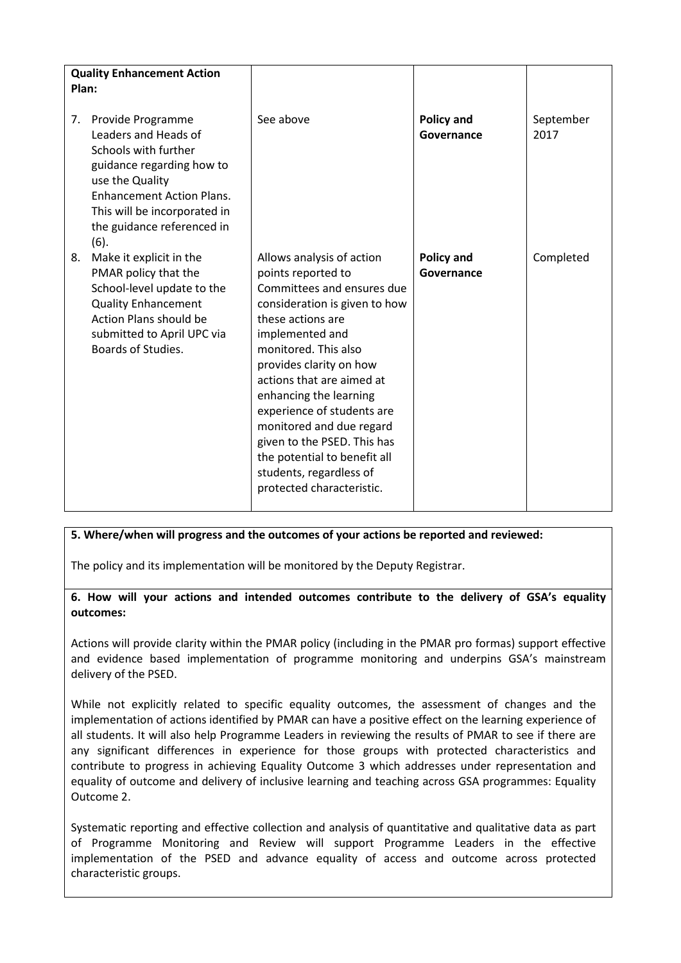| Plan: | <b>Quality Enhancement Action</b>                                                                                                                                                                                           |                                                                                                                                                                                                                                                                                                                                                                                                                                                   |                                 |                   |
|-------|-----------------------------------------------------------------------------------------------------------------------------------------------------------------------------------------------------------------------------|---------------------------------------------------------------------------------------------------------------------------------------------------------------------------------------------------------------------------------------------------------------------------------------------------------------------------------------------------------------------------------------------------------------------------------------------------|---------------------------------|-------------------|
| 7.    | Provide Programme<br>Leaders and Heads of<br>Schools with further<br>guidance regarding how to<br>use the Quality<br><b>Enhancement Action Plans.</b><br>This will be incorporated in<br>the guidance referenced in<br>(6). | See above                                                                                                                                                                                                                                                                                                                                                                                                                                         | <b>Policy and</b><br>Governance | September<br>2017 |
| 8.    | Make it explicit in the<br>PMAR policy that the<br>School-level update to the<br><b>Quality Enhancement</b><br><b>Action Plans should be</b><br>submitted to April UPC via<br>Boards of Studies.                            | Allows analysis of action<br>points reported to<br>Committees and ensures due<br>consideration is given to how<br>these actions are<br>implemented and<br>monitored. This also<br>provides clarity on how<br>actions that are aimed at<br>enhancing the learning<br>experience of students are<br>monitored and due regard<br>given to the PSED. This has<br>the potential to benefit all<br>students, regardless of<br>protected characteristic. | <b>Policy and</b><br>Governance | Completed         |

#### **5. Where/when will progress and the outcomes of your actions be reported and reviewed:**

The policy and its implementation will be monitored by the Deputy Registrar.

**6. How will your actions and intended outcomes contribute to the delivery of GSA's equality outcomes:**

Actions will provide clarity within the PMAR policy (including in the PMAR pro formas) support effective and evidence based implementation of programme monitoring and underpins GSA's mainstream delivery of the PSED.

While not explicitly related to specific equality outcomes, the assessment of changes and the implementation of actions identified by PMAR can have a positive effect on the learning experience of all students. It will also help Programme Leaders in reviewing the results of PMAR to see if there are any significant differences in experience for those groups with protected characteristics and contribute to progress in achieving Equality Outcome 3 which addresses under representation and equality of outcome and delivery of inclusive learning and teaching across GSA programmes: Equality Outcome 2.

Systematic reporting and effective collection and analysis of quantitative and qualitative data as part of Programme Monitoring and Review will support Programme Leaders in the effective implementation of the PSED and advance equality of access and outcome across protected characteristic groups.